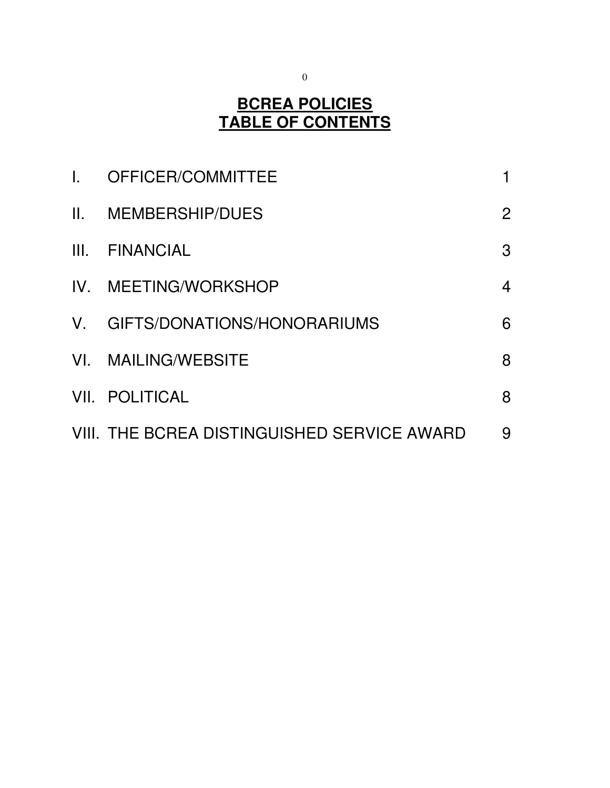#### **BCREA POLICIES TABLE OF CONTENTS**

| $\mathbf{L}$ | OFFICER/COMMITTEE                           |                |
|--------------|---------------------------------------------|----------------|
|              | II. MEMBERSHIP/DUES                         | $\overline{2}$ |
|              | III. FINANCIAL                              | 3              |
|              | IV. MEETING/WORKSHOP                        | 4              |
|              | V. GIFTS/DONATIONS/HONORARIUMS              | 6              |
|              | VI. MAILING/WEBSITE                         | 8              |
|              | <b>VII. POLITICAL</b>                       | 8              |
|              | VIII. THE BCREA DISTINGUISHED SERVICE AWARD | 9              |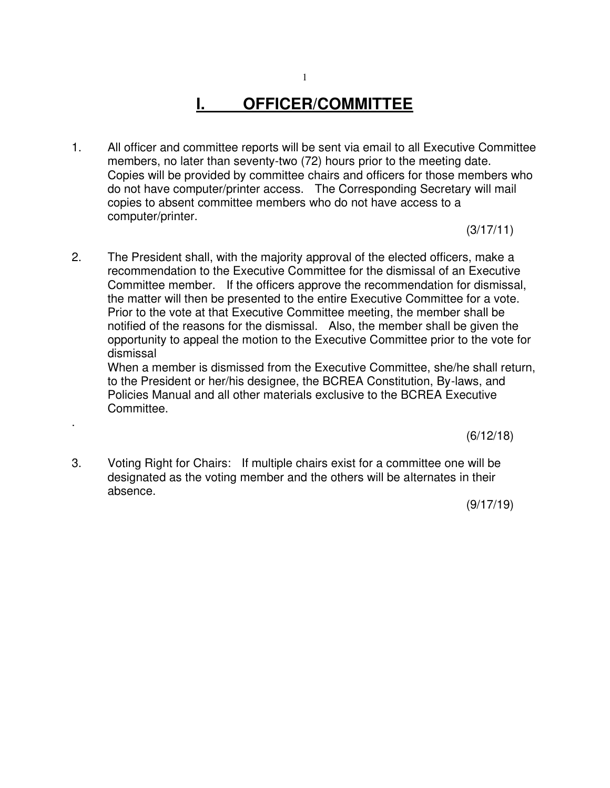# **I. OFFICER/COMMITTEE**

1. All officer and committee reports will be sent via email to all Executive Committee members, no later than seventy-two (72) hours prior to the meeting date. Copies will be provided by committee chairs and officers for those members who do not have computer/printer access. The Corresponding Secretary will mail copies to absent committee members who do not have access to a computer/printer.

(3/17/11)

2. The President shall, with the majority approval of the elected officers, make a recommendation to the Executive Committee for the dismissal of an Executive Committee member. If the officers approve the recommendation for dismissal, the matter will then be presented to the entire Executive Committee for a vote. Prior to the vote at that Executive Committee meeting, the member shall be notified of the reasons for the dismissal. Also, the member shall be given the opportunity to appeal the motion to the Executive Committee prior to the vote for dismissal

When a member is dismissed from the Executive Committee, she/he shall return, to the President or her/his designee, the BCREA Constitution, By-laws, and Policies Manual and all other materials exclusive to the BCREA Executive Committee.

 $(6/12/18)$ 

3. Voting Right for Chairs: If multiple chairs exist for a committee one will be designated as the voting member and the others will be alternates in their absence.

.

 $(9/17/19)$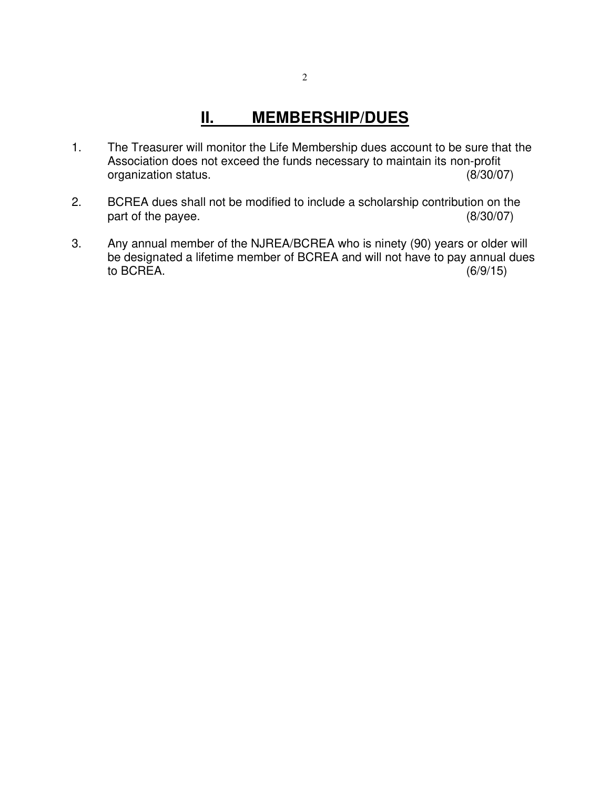### **II. MEMBERSHIP/DUES**

- 1. The Treasurer will monitor the Life Membership dues account to be sure that the Association does not exceed the funds necessary to maintain its non-profit organization status. (8/30/07)
- 2. BCREA dues shall not be modified to include a scholarship contribution on the part of the payee. (8/30/07)
- 3. Any annual member of the NJREA/BCREA who is ninety (90) years or older will be designated a lifetime member of BCREA and will not have to pay annual dues<br>to BCREA. (6/9/15) to BCREA.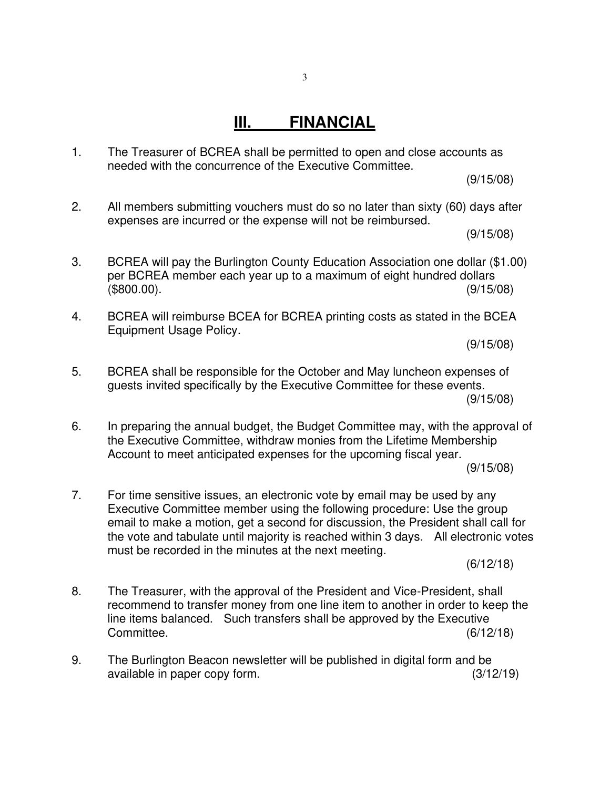1. The Treasurer of BCREA shall be permitted to open and close accounts as needed with the concurrence of the Executive Committee.

(9/15/08)

2. All members submitting vouchers must do so no later than sixty (60) days after expenses are incurred or the expense will not be reimbursed.

(9/15/08)

- 3. BCREA will pay the Burlington County Education Association one dollar (\$1.00) per BCREA member each year up to a maximum of eight hundred dollars  $($800.00)$ . (9/15/08)
- 4. BCREA will reimburse BCEA for BCREA printing costs as stated in the BCEA Equipment Usage Policy.

(9/15/08)

- 5. BCREA shall be responsible for the October and May luncheon expenses of guests invited specifically by the Executive Committee for these events. (9/15/08)
- 6. In preparing the annual budget, the Budget Committee may, with the approval of the Executive Committee, withdraw monies from the Lifetime Membership Account to meet anticipated expenses for the upcoming fiscal year.

(9/15/08)

7. For time sensitive issues, an electronic vote by email may be used by any Executive Committee member using the following procedure: Use the group email to make a motion, get a second for discussion, the President shall call for the vote and tabulate until majority is reached within 3 days. All electronic votes must be recorded in the minutes at the next meeting.

(6/12/18)

- 8. The Treasurer, with the approval of the President and Vice-President, shall recommend to transfer money from one line item to another in order to keep the line items balanced. Such transfers shall be approved by the Executive Committee. (6/12/18)
- 9. The Burlington Beacon newsletter will be published in digital form and be available in paper copy form. (3/12/19)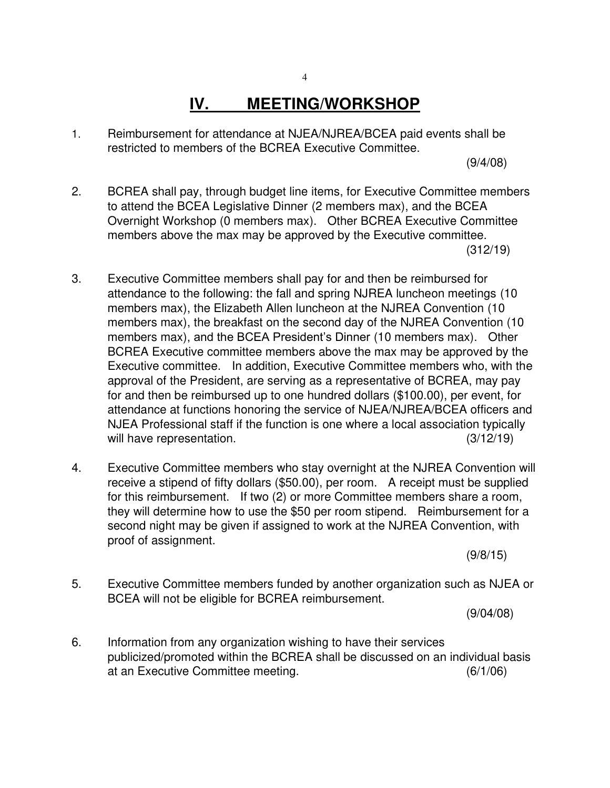## **IV. MEETING/WORKSHOP**

1. Reimbursement for attendance at NJEA/NJREA/BCEA paid events shall be restricted to members of the BCREA Executive Committee.

(9/4/08)

- 2. BCREA shall pay, through budget line items, for Executive Committee members to attend the BCEA Legislative Dinner (2 members max), and the BCEA Overnight Workshop (0 members max). Other BCREA Executive Committee members above the max may be approved by the Executive committee.  $(312/19)$
- 3. Executive Committee members shall pay for and then be reimbursed for attendance to the following: the fall and spring NJREA luncheon meetings (10 members max), the Elizabeth Allen luncheon at the NJREA Convention (10 members max), the breakfast on the second day of the NJREA Convention (10 members max), and the BCEA President's Dinner (10 members max). Other BCREA Executive committee members above the max may be approved by the Executive committee. In addition, Executive Committee members who, with the approval of the President, are serving as a representative of BCREA, may pay for and then be reimbursed up to one hundred dollars (\$100.00), per event, for attendance at functions honoring the service of NJEA/NJREA/BCEA officers and NJEA Professional staff if the function is one where a local association typically will have representation. (3/12/19)
- 4. Executive Committee members who stay overnight at the NJREA Convention will receive a stipend of fifty dollars (\$50.00), per room. A receipt must be supplied for this reimbursement. If two (2) or more Committee members share a room, they will determine how to use the \$50 per room stipend. Reimbursement for a second night may be given if assigned to work at the NJREA Convention, with proof of assignment.

(9/8/15)

5. Executive Committee members funded by another organization such as NJEA or BCEA will not be eligible for BCREA reimbursement.

(9/04/08)

6. Information from any organization wishing to have their services publicized/promoted within the BCREA shall be discussed on an individual basis at an Executive Committee meeting. (6/1/06)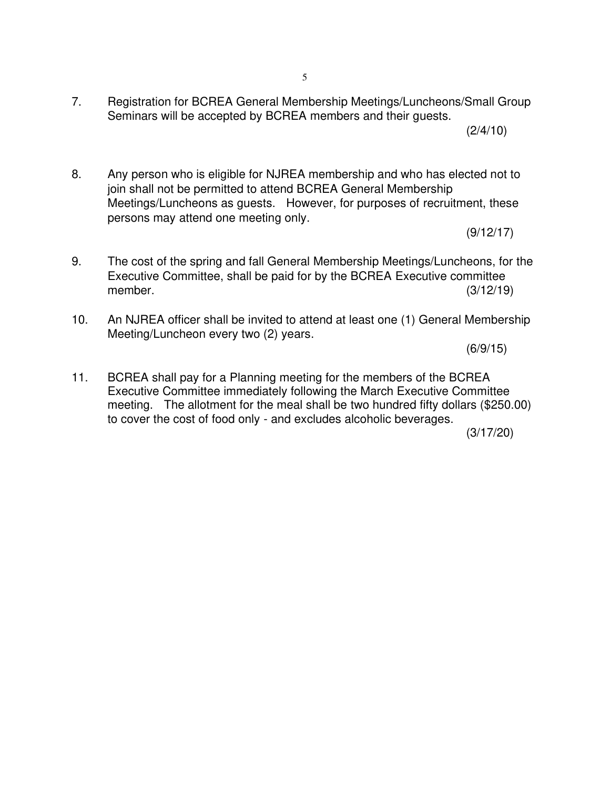7. Registration for BCREA General Membership Meetings/Luncheons/Small Group Seminars will be accepted by BCREA members and their guests.

 $(2/4/10)$ 

8. Any person who is eligible for NJREA membership and who has elected not to join shall not be permitted to attend BCREA General Membership Meetings/Luncheons as guests. However, for purposes of recruitment, these persons may attend one meeting only.

(9/12/17)

- 9. The cost of the spring and fall General Membership Meetings/Luncheons, for the Executive Committee, shall be paid for by the BCREA Executive committee member. (3/12/19)
- 10. An NJREA officer shall be invited to attend at least one (1) General Membership Meeting/Luncheon every two (2) years.

(6/9/15)

11. BCREA shall pay for a Planning meeting for the members of the BCREA Executive Committee immediately following the March Executive Committee meeting. The allotment for the meal shall be two hundred fifty dollars (\$250.00) to cover the cost of food only - and excludes alcoholic beverages.

(3/17/20)

5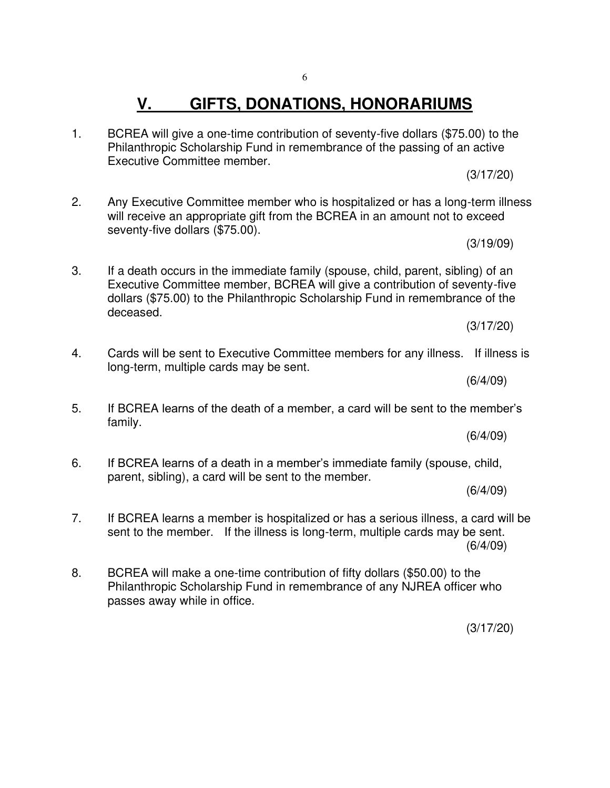### **V. GIFTS, DONATIONS, HONORARIUMS**

1. BCREA will give a one-time contribution of seventy-five dollars (\$75.00) to the Philanthropic Scholarship Fund in remembrance of the passing of an active Executive Committee member.

2. Any Executive Committee member who is hospitalized or has a long-term illness will receive an appropriate gift from the BCREA in an amount not to exceed seventy-five dollars (\$75.00).

(3/19/09)

(3/17/20)

3. If a death occurs in the immediate family (spouse, child, parent, sibling) of an Executive Committee member, BCREA will give a contribution of seventy-five dollars (\$75.00) to the Philanthropic Scholarship Fund in remembrance of the deceased.

- 4. Cards will be sent to Executive Committee members for any illness. If illness is long-term, multiple cards may be sent.
	- (6/4/09)
- 5. If BCREA learns of the death of a member, a card will be sent to the member's family.

6. If BCREA learns of a death in a member's immediate family (spouse, child, parent, sibling), a card will be sent to the member.

(6/4/09)

(6/4/09)

- 7. If BCREA learns a member is hospitalized or has a serious illness, a card will be sent to the member. If the illness is long-term, multiple cards may be sent. (6/4/09)
- 8. BCREA will make a one-time contribution of fifty dollars (\$50.00) to the Philanthropic Scholarship Fund in remembrance of any NJREA officer who passes away while in office.

(3/17/20)

(3/17/20)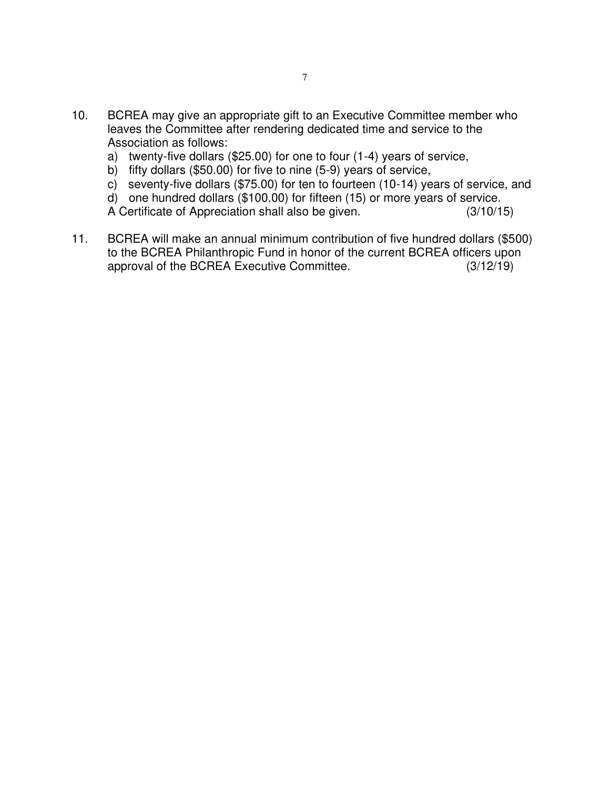- 10. BCREA may give an appropriate gift to an Executive Committee member who leaves the Committee after rendering dedicated time and service to the Association as follows:
	- a) twenty-five dollars (\$25.00) for one to four (1-4) years of service,
	- b) fifty dollars (\$50.00) for five to nine (5-9) years of service,
	- c) seventy-five dollars (\$75.00) for ten to fourteen (10-14) years of service, and
	- d) one hundred dollars (\$100.00) for fifteen (15) or more years of service.
	- A Certificate of Appreciation shall also be given. (3/10/15)
- 11. BCREA will make an annual minimum contribution of five hundred dollars (\$500) to the BCREA Philanthropic Fund in honor of the current BCREA officers upon approval of the BCREA Executive Committee. (3/12/19)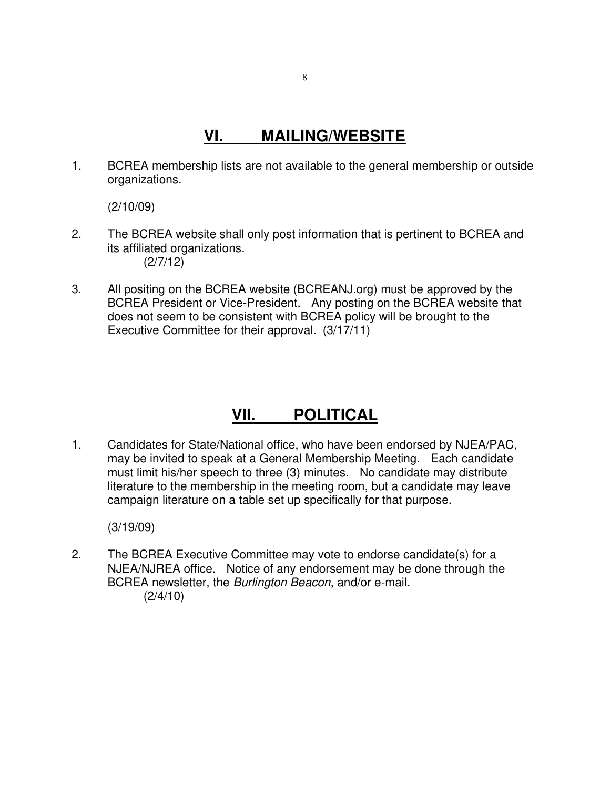#### **VI. MAILING/WEBSITE**

1. BCREA membership lists are not available to the general membership or outside organizations.

(2/10/09)

- 2. The BCREA website shall only post information that is pertinent to BCREA and its affiliated organizations. (2/7/12)
- 3. All positing on the BCREA website (BCREANJ.org) must be approved by the BCREA President or Vice-President. Any posting on the BCREA website that does not seem to be consistent with BCREA policy will be brought to the Executive Committee for their approval. (3/17/11)

### **VII. POLITICAL**

1. Candidates for State/National office, who have been endorsed by NJEA/PAC, may be invited to speak at a General Membership Meeting. Each candidate must limit his/her speech to three (3) minutes. No candidate may distribute literature to the membership in the meeting room, but a candidate may leave campaign literature on a table set up specifically for that purpose.

(3/19/09)

2. The BCREA Executive Committee may vote to endorse candidate(s) for a NJEA/NJREA office. Notice of any endorsement may be done through the BCREA newsletter, the Burlington Beacon, and/or e-mail.  $(2/4/10)$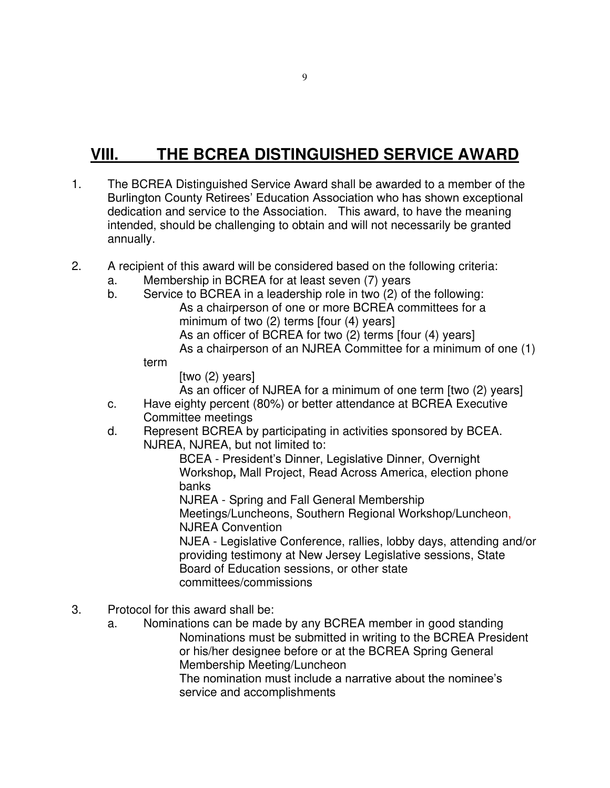## **VIII. THE BCREA DISTINGUISHED SERVICE AWARD**

- 1. The BCREA Distinguished Service Award shall be awarded to a member of the Burlington County Retirees' Education Association who has shown exceptional dedication and service to the Association. This award, to have the meaning intended, should be challenging to obtain and will not necessarily be granted annually.
- 2. A recipient of this award will be considered based on the following criteria:
	- a. Membership in BCREA for at least seven (7) years
	- b. Service to BCREA in a leadership role in two (2) of the following:
		- As a chairperson of one or more BCREA committees for a minimum of two (2) terms [four (4) years] As an officer of BCREA for two (2) terms [four (4) years] As a chairperson of an NJREA Committee for a minimum of one (1)

#### term

[two (2) years]

As an officer of NJREA for a minimum of one term [two (2) years]

- c. Have eighty percent (80%) or better attendance at BCREA Executive Committee meetings
- d. Represent BCREA by participating in activities sponsored by BCEA. NJREA, NJREA, but not limited to:

BCEA - President's Dinner, Legislative Dinner, Overnight Workshop**,** Mall Project, Read Across America, election phone banks

NJREA - Spring and Fall General Membership Meetings/Luncheons, Southern Regional Workshop/Luncheon, NJREA Convention

NJEA - Legislative Conference, rallies, lobby days, attending and/or providing testimony at New Jersey Legislative sessions, State Board of Education sessions, or other state committees/commissions

- 3. Protocol for this award shall be:
	- a. Nominations can be made by any BCREA member in good standing Nominations must be submitted in writing to the BCREA President or his/her designee before or at the BCREA Spring General Membership Meeting/Luncheon

The nomination must include a narrative about the nominee's service and accomplishments